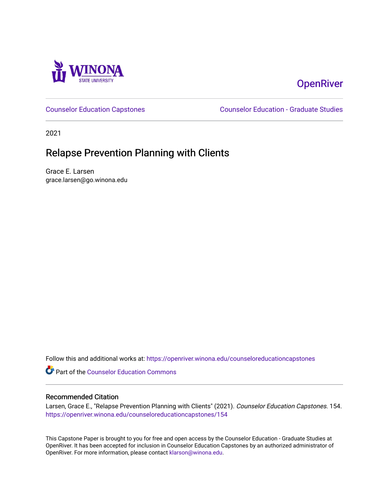

# **OpenRiver**

[Counselor Education Capstones](https://openriver.winona.edu/counseloreducationcapstones) [Counselor Education - Graduate Studies](https://openriver.winona.edu/counseloreducation) 

2021

# Relapse Prevention Planning with Clients

Grace E. Larsen grace.larsen@go.winona.edu

Follow this and additional works at: [https://openriver.winona.edu/counseloreducationcapstones](https://openriver.winona.edu/counseloreducationcapstones?utm_source=openriver.winona.edu%2Fcounseloreducationcapstones%2F154&utm_medium=PDF&utm_campaign=PDFCoverPages)

Part of the [Counselor Education Commons](http://network.bepress.com/hgg/discipline/1278?utm_source=openriver.winona.edu%2Fcounseloreducationcapstones%2F154&utm_medium=PDF&utm_campaign=PDFCoverPages) 

# Recommended Citation

Larsen, Grace E., "Relapse Prevention Planning with Clients" (2021). Counselor Education Capstones. 154. [https://openriver.winona.edu/counseloreducationcapstones/154](https://openriver.winona.edu/counseloreducationcapstones/154?utm_source=openriver.winona.edu%2Fcounseloreducationcapstones%2F154&utm_medium=PDF&utm_campaign=PDFCoverPages)

This Capstone Paper is brought to you for free and open access by the Counselor Education - Graduate Studies at OpenRiver. It has been accepted for inclusion in Counselor Education Capstones by an authorized administrator of OpenRiver. For more information, please contact [klarson@winona.edu](mailto:klarson@winona.edu).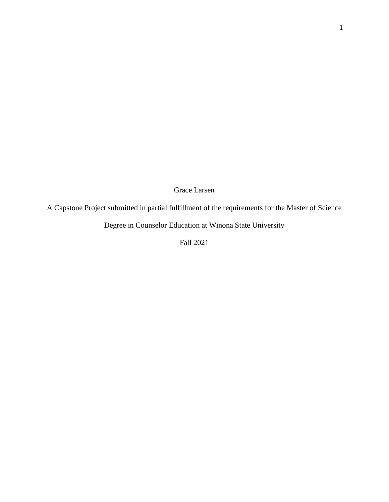Grace Larsen

A Capstone Project submitted in partial fulfillment of the requirements for the Master of Science

Degree in Counselor Education at Winona State University

Fall 2021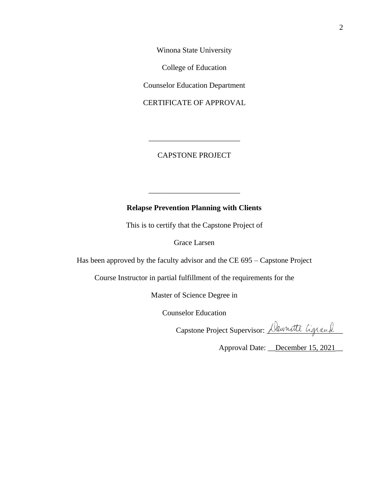Winona State University

College of Education

Counselor Education Department

CERTIFICATE OF APPROVAL

CAPSTONE PROJECT

\_\_\_\_\_\_\_\_\_\_\_\_\_\_\_\_\_\_\_\_\_\_\_\_

# **Relapse Prevention Planning with Clients**

\_\_\_\_\_\_\_\_\_\_\_\_\_\_\_\_\_\_\_\_\_\_\_\_

This is to certify that the Capstone Project of

Grace Larsen

Has been approved by the faculty advisor and the CE 695 – Capstone Project

Course Instructor in partial fulfillment of the requirements for the

Master of Science Degree in

Counselor Education

Capstone Project Supervisor: *Dawnatte Ligrand* 

Approval Date: December 15, 2021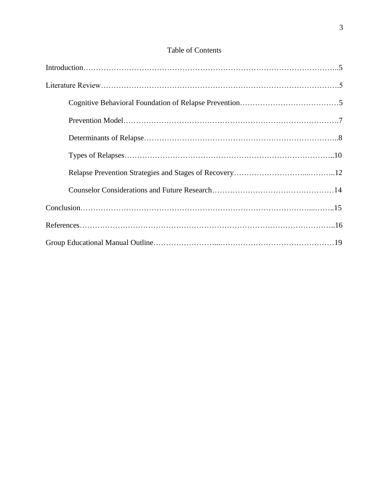# Table of Contents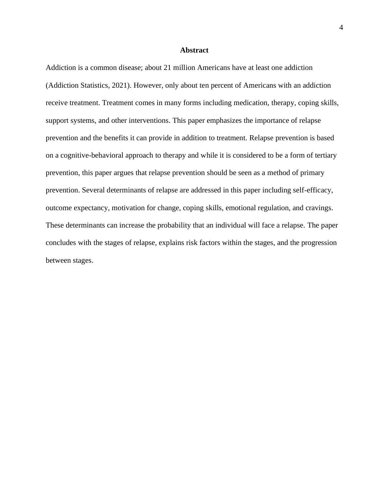#### **Abstract**

Addiction is a common disease; about 21 million Americans have at least one addiction (Addiction Statistics, 2021). However, only about ten percent of Americans with an addiction receive treatment. Treatment comes in many forms including medication, therapy, coping skills, support systems, and other interventions. This paper emphasizes the importance of relapse prevention and the benefits it can provide in addition to treatment. Relapse prevention is based on a cognitive-behavioral approach to therapy and while it is considered to be a form of tertiary prevention, this paper argues that relapse prevention should be seen as a method of primary prevention. Several determinants of relapse are addressed in this paper including self-efficacy, outcome expectancy, motivation for change, coping skills, emotional regulation, and cravings. These determinants can increase the probability that an individual will face a relapse. The paper concludes with the stages of relapse, explains risk factors within the stages, and the progression between stages.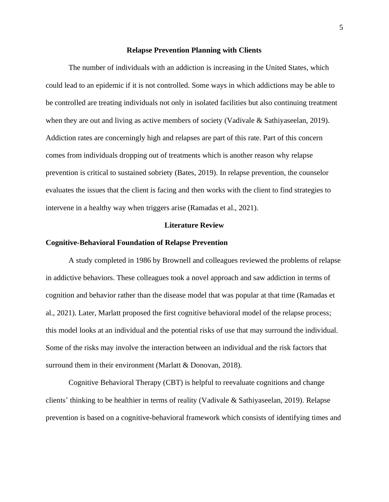#### **Relapse Prevention Planning with Clients**

The number of individuals with an addiction is increasing in the United States, which could lead to an epidemic if it is not controlled. Some ways in which addictions may be able to be controlled are treating individuals not only in isolated facilities but also continuing treatment when they are out and living as active members of society (Vadivale & Sathiyaseelan, 2019). Addiction rates are concerningly high and relapses are part of this rate. Part of this concern comes from individuals dropping out of treatments which is another reason why relapse prevention is critical to sustained sobriety (Bates, 2019). In relapse prevention, the counselor evaluates the issues that the client is facing and then works with the client to find strategies to intervene in a healthy way when triggers arise (Ramadas et al., 2021).

#### **Literature Review**

#### **Cognitive-Behavioral Foundation of Relapse Prevention**

A study completed in 1986 by Brownell and colleagues reviewed the problems of relapse in addictive behaviors. These colleagues took a novel approach and saw addiction in terms of cognition and behavior rather than the disease model that was popular at that time (Ramadas et al., 2021). Later, Marlatt proposed the first cognitive behavioral model of the relapse process; this model looks at an individual and the potential risks of use that may surround the individual. Some of the risks may involve the interaction between an individual and the risk factors that surround them in their environment (Marlatt & Donovan, 2018).

Cognitive Behavioral Therapy (CBT) is helpful to reevaluate cognitions and change clients' thinking to be healthier in terms of reality (Vadivale & Sathiyaseelan, 2019). Relapse prevention is based on a cognitive-behavioral framework which consists of identifying times and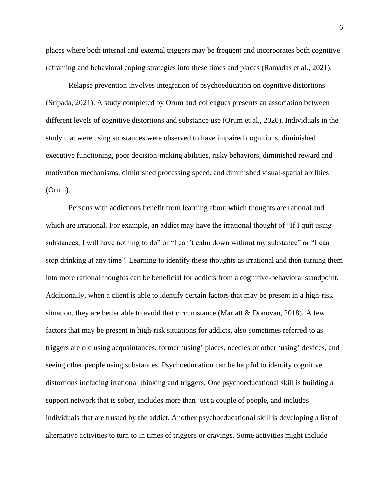places where both internal and external triggers may be frequent and incorporates both cognitive reframing and behavioral coping strategies into these times and places (Ramadas et al., 2021).

Relapse prevention involves integration of psychoeducation on cognitive distortions (Sripada, 2021). A study completed by Orum and colleagues presents an association between different levels of cognitive distortions and substance use (Orum et al., 2020). Individuals in the study that were using substances were observed to have impaired cognitions, diminished executive functioning, poor decision-making abilities, risky behaviors, diminished reward and motivation mechanisms, diminished processing speed, and diminished visual-spatial abilities (Orum).

Persons with addictions benefit from learning about which thoughts are rational and which are irrational. For example, an addict may have the irrational thought of "If I quit using substances, I will have nothing to do" or "I can't calm down without my substance" or "I can stop drinking at any time". Learning to identify these thoughts as irrational and then turning them into more rational thoughts can be beneficial for addicts from a cognitive-behavioral standpoint. Additionally, when a client is able to identify certain factors that may be present in a high-risk situation, they are better able to avoid that circumstance (Marlatt & Donovan, 2018). A few factors that may be present in high-risk situations for addicts, also sometimes referred to as triggers are old using acquaintances, former 'using' places, needles or other 'using' devices, and seeing other people using substances. Psychoeducation can be helpful to identify cognitive distortions including irrational thinking and triggers. One psychoeducational skill is building a support network that is sober, includes more than just a couple of people, and includes individuals that are trusted by the addict. Another psychoeducational skill is developing a list of alternative activities to turn to in times of triggers or cravings. Some activities might include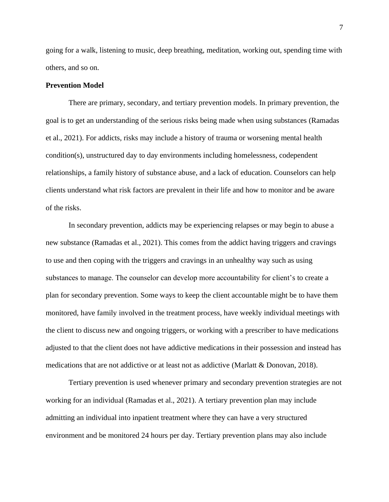going for a walk, listening to music, deep breathing, meditation, working out, spending time with others, and so on.

### **Prevention Model**

There are primary, secondary, and tertiary prevention models. In primary prevention, the goal is to get an understanding of the serious risks being made when using substances (Ramadas et al., 2021). For addicts, risks may include a history of trauma or worsening mental health condition(s), unstructured day to day environments including homelessness, codependent relationships, a family history of substance abuse, and a lack of education. Counselors can help clients understand what risk factors are prevalent in their life and how to monitor and be aware of the risks.

In secondary prevention, addicts may be experiencing relapses or may begin to abuse a new substance (Ramadas et al., 2021). This comes from the addict having triggers and cravings to use and then coping with the triggers and cravings in an unhealthy way such as using substances to manage. The counselor can develop more accountability for client's to create a plan for secondary prevention. Some ways to keep the client accountable might be to have them monitored, have family involved in the treatment process, have weekly individual meetings with the client to discuss new and ongoing triggers, or working with a prescriber to have medications adjusted to that the client does not have addictive medications in their possession and instead has medications that are not addictive or at least not as addictive (Marlatt & Donovan, 2018).

Tertiary prevention is used whenever primary and secondary prevention strategies are not working for an individual (Ramadas et al., 2021). A tertiary prevention plan may include admitting an individual into inpatient treatment where they can have a very structured environment and be monitored 24 hours per day. Tertiary prevention plans may also include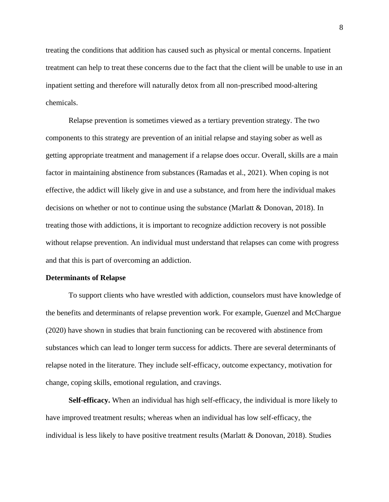treating the conditions that addition has caused such as physical or mental concerns. Inpatient treatment can help to treat these concerns due to the fact that the client will be unable to use in an inpatient setting and therefore will naturally detox from all non-prescribed mood-altering chemicals.

Relapse prevention is sometimes viewed as a tertiary prevention strategy. The two components to this strategy are prevention of an initial relapse and staying sober as well as getting appropriate treatment and management if a relapse does occur. Overall, skills are a main factor in maintaining abstinence from substances (Ramadas et al., 2021). When coping is not effective, the addict will likely give in and use a substance, and from here the individual makes decisions on whether or not to continue using the substance (Marlatt  $&$  Donovan, 2018). In treating those with addictions, it is important to recognize addiction recovery is not possible without relapse prevention. An individual must understand that relapses can come with progress and that this is part of overcoming an addiction.

#### **Determinants of Relapse**

To support clients who have wrestled with addiction, counselors must have knowledge of the benefits and determinants of relapse prevention work. For example, Guenzel and McChargue (2020) have shown in studies that brain functioning can be recovered with abstinence from substances which can lead to longer term success for addicts. There are several determinants of relapse noted in the literature. They include self-efficacy, outcome expectancy, motivation for change, coping skills, emotional regulation, and cravings.

**Self-efficacy.** When an individual has high self-efficacy, the individual is more likely to have improved treatment results; whereas when an individual has low self-efficacy, the individual is less likely to have positive treatment results (Marlatt & Donovan, 2018). Studies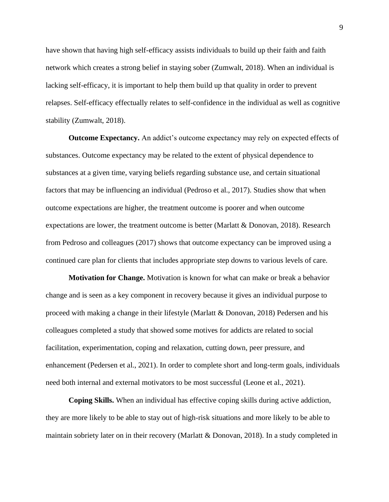have shown that having high self-efficacy assists individuals to build up their faith and faith network which creates a strong belief in staying sober (Zumwalt, 2018). When an individual is lacking self-efficacy, it is important to help them build up that quality in order to prevent relapses. Self-efficacy effectually relates to self-confidence in the individual as well as cognitive stability (Zumwalt, 2018).

**Outcome Expectancy.** An addict's outcome expectancy may rely on expected effects of substances. Outcome expectancy may be related to the extent of physical dependence to substances at a given time, varying beliefs regarding substance use, and certain situational factors that may be influencing an individual (Pedroso et al., 2017). Studies show that when outcome expectations are higher, the treatment outcome is poorer and when outcome expectations are lower, the treatment outcome is better (Marlatt & Donovan, 2018). Research from Pedroso and colleagues (2017) shows that outcome expectancy can be improved using a continued care plan for clients that includes appropriate step downs to various levels of care.

**Motivation for Change.** Motivation is known for what can make or break a behavior change and is seen as a key component in recovery because it gives an individual purpose to proceed with making a change in their lifestyle (Marlatt & Donovan, 2018) Pedersen and his colleagues completed a study that showed some motives for addicts are related to social facilitation, experimentation, coping and relaxation, cutting down, peer pressure, and enhancement (Pedersen et al., 2021). In order to complete short and long-term goals, individuals need both internal and external motivators to be most successful (Leone et al., 2021).

**Coping Skills.** When an individual has effective coping skills during active addiction, they are more likely to be able to stay out of high-risk situations and more likely to be able to maintain sobriety later on in their recovery (Marlatt & Donovan, 2018). In a study completed in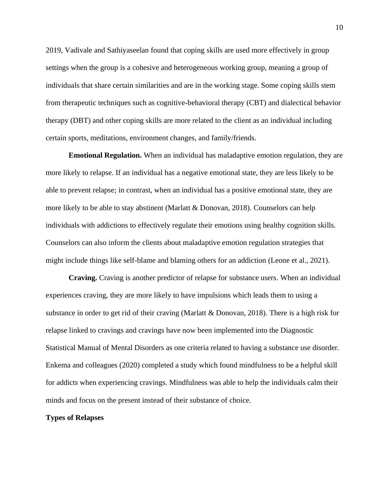2019, Vadivale and Sathiyaseelan found that coping skills are used more effectively in group settings when the group is a cohesive and heterogeneous working group, meaning a group of individuals that share certain similarities and are in the working stage. Some coping skills stem from therapeutic techniques such as cognitive-behavioral therapy (CBT) and dialectical behavior therapy (DBT) and other coping skills are more related to the client as an individual including certain sports, meditations, environment changes, and family/friends.

**Emotional Regulation.** When an individual has maladaptive emotion regulation, they are more likely to relapse. If an individual has a negative emotional state, they are less likely to be able to prevent relapse; in contrast, when an individual has a positive emotional state, they are more likely to be able to stay abstinent (Marlatt & Donovan, 2018). Counselors can help individuals with addictions to effectively regulate their emotions using healthy cognition skills. Counselors can also inform the clients about maladaptive emotion regulation strategies that might include things like self-blame and blaming others for an addiction (Leone et al., 2021).

**Craving.** Craving is another predictor of relapse for substance users. When an individual experiences craving, they are more likely to have impulsions which leads them to using a substance in order to get rid of their craving (Marlatt & Donovan, 2018). There is a high risk for relapse linked to cravings and cravings have now been implemented into the Diagnostic Statistical Manual of Mental Disorders as one criteria related to having a substance use disorder. Enkema and colleagues (2020) completed a study which found mindfulness to be a helpful skill for addicts when experiencing cravings. Mindfulness was able to help the individuals calm their minds and focus on the present instead of their substance of choice.

### **Types of Relapses**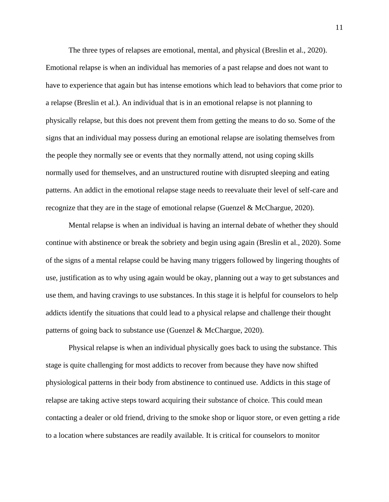The three types of relapses are emotional, mental, and physical (Breslin et al., 2020). Emotional relapse is when an individual has memories of a past relapse and does not want to have to experience that again but has intense emotions which lead to behaviors that come prior to a relapse (Breslin et al.). An individual that is in an emotional relapse is not planning to physically relapse, but this does not prevent them from getting the means to do so. Some of the signs that an individual may possess during an emotional relapse are isolating themselves from the people they normally see or events that they normally attend, not using coping skills normally used for themselves, and an unstructured routine with disrupted sleeping and eating patterns. An addict in the emotional relapse stage needs to reevaluate their level of self-care and recognize that they are in the stage of emotional relapse (Guenzel & McChargue, 2020).

Mental relapse is when an individual is having an internal debate of whether they should continue with abstinence or break the sobriety and begin using again (Breslin et al., 2020). Some of the signs of a mental relapse could be having many triggers followed by lingering thoughts of use, justification as to why using again would be okay, planning out a way to get substances and use them, and having cravings to use substances. In this stage it is helpful for counselors to help addicts identify the situations that could lead to a physical relapse and challenge their thought patterns of going back to substance use (Guenzel & McChargue, 2020).

Physical relapse is when an individual physically goes back to using the substance. This stage is quite challenging for most addicts to recover from because they have now shifted physiological patterns in their body from abstinence to continued use. Addicts in this stage of relapse are taking active steps toward acquiring their substance of choice. This could mean contacting a dealer or old friend, driving to the smoke shop or liquor store, or even getting a ride to a location where substances are readily available. It is critical for counselors to monitor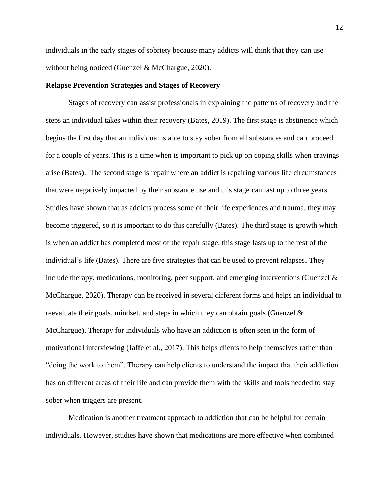individuals in the early stages of sobriety because many addicts will think that they can use without being noticed (Guenzel & McChargue, 2020).

### **Relapse Prevention Strategies and Stages of Recovery**

Stages of recovery can assist professionals in explaining the patterns of recovery and the steps an individual takes within their recovery (Bates, 2019). The first stage is abstinence which begins the first day that an individual is able to stay sober from all substances and can proceed for a couple of years. This is a time when is important to pick up on coping skills when cravings arise (Bates). The second stage is repair where an addict is repairing various life circumstances that were negatively impacted by their substance use and this stage can last up to three years. Studies have shown that as addicts process some of their life experiences and trauma, they may become triggered, so it is important to do this carefully (Bates). The third stage is growth which is when an addict has completed most of the repair stage; this stage lasts up to the rest of the individual's life (Bates). There are five strategies that can be used to prevent relapses. They include therapy, medications, monitoring, peer support, and emerging interventions (Guenzel  $\&$ McChargue, 2020). Therapy can be received in several different forms and helps an individual to reevaluate their goals, mindset, and steps in which they can obtain goals (Guenzel  $\&$ McChargue). Therapy for individuals who have an addiction is often seen in the form of motivational interviewing (Jaffe et al., 2017). This helps clients to help themselves rather than "doing the work to them". Therapy can help clients to understand the impact that their addiction has on different areas of their life and can provide them with the skills and tools needed to stay sober when triggers are present.

Medication is another treatment approach to addiction that can be helpful for certain individuals. However, studies have shown that medications are more effective when combined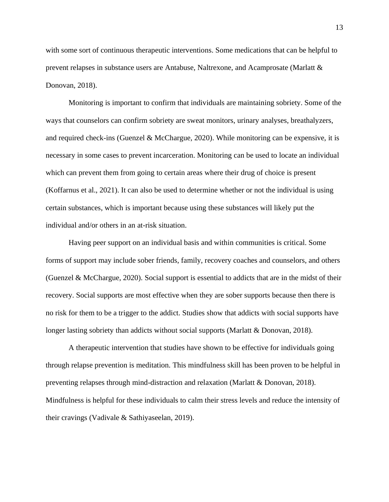with some sort of continuous therapeutic interventions. Some medications that can be helpful to prevent relapses in substance users are Antabuse, Naltrexone, and Acamprosate (Marlatt & Donovan, 2018).

Monitoring is important to confirm that individuals are maintaining sobriety. Some of the ways that counselors can confirm sobriety are sweat monitors, urinary analyses, breathalyzers, and required check-ins (Guenzel & McChargue,  $2020$ ). While monitoring can be expensive, it is necessary in some cases to prevent incarceration. Monitoring can be used to locate an individual which can prevent them from going to certain areas where their drug of choice is present (Koffarnus et al., 2021). It can also be used to determine whether or not the individual is using certain substances, which is important because using these substances will likely put the individual and/or others in an at-risk situation.

Having peer support on an individual basis and within communities is critical. Some forms of support may include sober friends, family, recovery coaches and counselors, and others (Guenzel & McChargue, 2020). Social support is essential to addicts that are in the midst of their recovery. Social supports are most effective when they are sober supports because then there is no risk for them to be a trigger to the addict. Studies show that addicts with social supports have longer lasting sobriety than addicts without social supports (Marlatt & Donovan, 2018).

A therapeutic intervention that studies have shown to be effective for individuals going through relapse prevention is meditation. This mindfulness skill has been proven to be helpful in preventing relapses through mind-distraction and relaxation (Marlatt & Donovan, 2018). Mindfulness is helpful for these individuals to calm their stress levels and reduce the intensity of their cravings (Vadivale & Sathiyaseelan, 2019).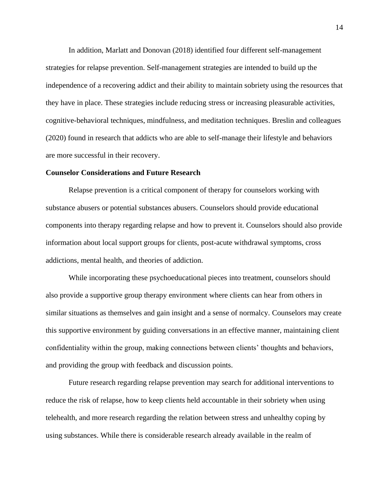In addition, Marlatt and Donovan (2018) identified four different self-management strategies for relapse prevention. Self-management strategies are intended to build up the independence of a recovering addict and their ability to maintain sobriety using the resources that they have in place. These strategies include reducing stress or increasing pleasurable activities, cognitive-behavioral techniques, mindfulness, and meditation techniques. Breslin and colleagues (2020) found in research that addicts who are able to self-manage their lifestyle and behaviors are more successful in their recovery.

#### **Counselor Considerations and Future Research**

Relapse prevention is a critical component of therapy for counselors working with substance abusers or potential substances abusers. Counselors should provide educational components into therapy regarding relapse and how to prevent it. Counselors should also provide information about local support groups for clients, post-acute withdrawal symptoms, cross addictions, mental health, and theories of addiction.

While incorporating these psychoeducational pieces into treatment, counselors should also provide a supportive group therapy environment where clients can hear from others in similar situations as themselves and gain insight and a sense of normalcy. Counselors may create this supportive environment by guiding conversations in an effective manner, maintaining client confidentiality within the group, making connections between clients' thoughts and behaviors, and providing the group with feedback and discussion points.

Future research regarding relapse prevention may search for additional interventions to reduce the risk of relapse, how to keep clients held accountable in their sobriety when using telehealth, and more research regarding the relation between stress and unhealthy coping by using substances. While there is considerable research already available in the realm of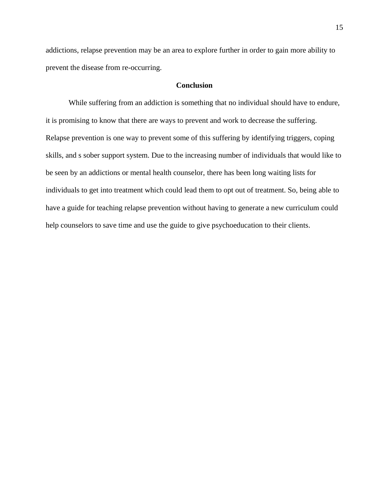addictions, relapse prevention may be an area to explore further in order to gain more ability to prevent the disease from re-occurring.

# **Conclusion**

While suffering from an addiction is something that no individual should have to endure, it is promising to know that there are ways to prevent and work to decrease the suffering. Relapse prevention is one way to prevent some of this suffering by identifying triggers, coping skills, and s sober support system. Due to the increasing number of individuals that would like to be seen by an addictions or mental health counselor, there has been long waiting lists for individuals to get into treatment which could lead them to opt out of treatment. So, being able to have a guide for teaching relapse prevention without having to generate a new curriculum could help counselors to save time and use the guide to give psychoeducation to their clients.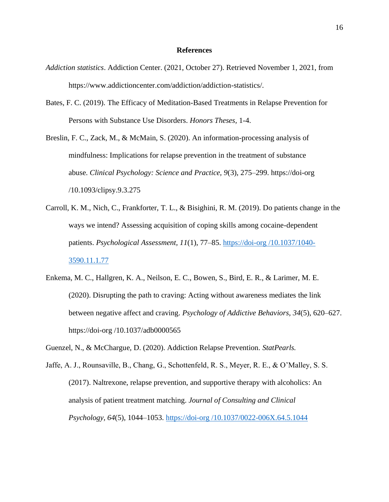#### **References**

- *Addiction statistics*. Addiction Center. (2021, October 27). Retrieved November 1, 2021, from https://www.addictioncenter.com/addiction/addiction-statistics/.
- Bates, F. C. (2019). The Efficacy of Meditation-Based Treatments in Relapse Prevention for Persons with Substance Use Disorders. *Honors Theses,* 1-4.

Breslin, F. C., Zack, M., & McMain, S. (2020). An information-processing analysis of mindfulness: Implications for relapse prevention in the treatment of substance abuse. *Clinical Psychology: Science and Practice, 9*(3), 275–299. https://doi-org /10.1093/clipsy.9.3.275

- Carroll, K. M., Nich, C., Frankforter, T. L., & Bisighini, R. M. (2019). Do patients change in the ways we intend? Assessing acquisition of coping skills among cocaine-dependent patients. *Psychological Assessment, 11*(1), 77–85. https://doi-org [/10.1037/1040-](https://doi-org.wsuproxy.mnpals.net/10.1037/1040-3590.11.1.77) [3590.11.1.77](https://doi-org.wsuproxy.mnpals.net/10.1037/1040-3590.11.1.77)
- Enkema, M. C., Hallgren, K. A., Neilson, E. C., Bowen, S., Bird, E. R., & Larimer, M. E. (2020). Disrupting the path to craving: Acting without awareness mediates the link between negative affect and craving. *Psychology of Addictive Behaviors, 34*(5), 620–627. https://doi-org /10.1037/adb0000565
- Guenzel, N., & McChargue, D. (2020). Addiction Relapse Prevention. *StatPearls.*
- Jaffe, A. J., Rounsaville, B., Chang, G., Schottenfeld, R. S., Meyer, R. E., & O'Malley, S. S. (2017). Naltrexone, relapse prevention, and supportive therapy with alcoholics: An analysis of patient treatment matching. *Journal of Consulting and Clinical Psychology, 64*(5), 1044–1053. https://doi-org [/10.1037/0022-006X.64.5.1044](https://doi-org.wsuproxy.mnpals.net/10.1037/0022-006X.64.5.1044)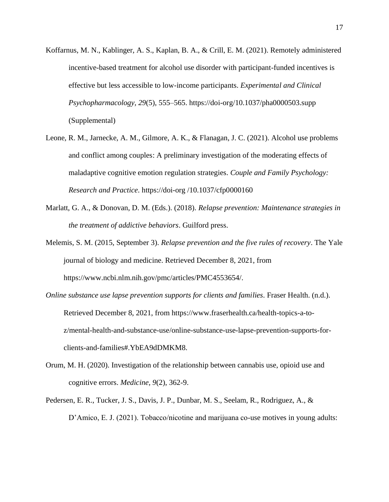- Koffarnus, M. N., Kablinger, A. S., Kaplan, B. A., & Crill, E. M. (2021). Remotely administered incentive-based treatment for alcohol use disorder with participant-funded incentives is effective but less accessible to low-income participants. *Experimental and Clinical Psychopharmacology, 29*(5), 555–565. https://doi-org/10.1037/pha0000503.supp (Supplemental)
- Leone, R. M., Jarnecke, A. M., Gilmore, A. K., & Flanagan, J. C. (2021). Alcohol use problems and conflict among couples: A preliminary investigation of the moderating effects of maladaptive cognitive emotion regulation strategies. *Couple and Family Psychology: Research and Practice*. https://doi-org /10.1037/cfp0000160
- Marlatt, G. A., & Donovan, D. M. (Eds.). (2018). *Relapse prevention: Maintenance strategies in the treatment of addictive behaviors*. Guilford press.
- Melemis, S. M. (2015, September 3). *Relapse prevention and the five rules of recovery*. The Yale journal of biology and medicine. Retrieved December 8, 2021, from https://www.ncbi.nlm.nih.gov/pmc/articles/PMC4553654/.
- *Online substance use lapse prevention supports for clients and families*. Fraser Health. (n.d.). Retrieved December 8, 2021, from https://www.fraserhealth.ca/health-topics-a-toz/mental-health-and-substance-use/online-substance-use-lapse-prevention-supports-forclients-and-families#.YbEA9dDMKM8.
- Orum, M. H. (2020). Investigation of the relationship between cannabis use, opioid use and cognitive errors. *Medicine, 9*(2), 362-9.
- Pedersen, E. R., Tucker, J. S., Davis, J. P., Dunbar, M. S., Seelam, R., Rodriguez, A., & D'Amico, E. J. (2021). Tobacco/nicotine and marijuana co-use motives in young adults: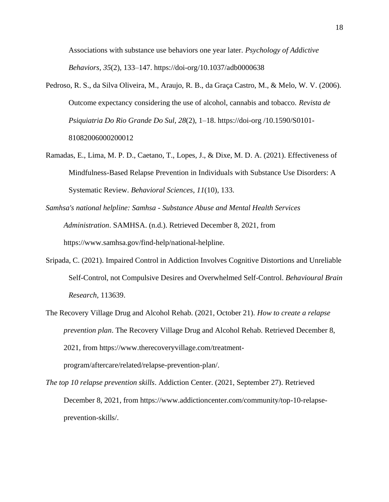Associations with substance use behaviors one year later. *Psychology of Addictive Behaviors, 35*(2), 133–147. https://doi-org/10.1037/adb0000638

- Pedroso, R. S., da Silva Oliveira, M., Araujo, R. B., da Graça Castro, M., & Melo, W. V. (2006). Outcome expectancy considering the use of alcohol, cannabis and tobacco. *Revista de Psiquiatria Do Rio Grande Do Sul, 28*(2), 1–18. https://doi-org /10.1590/S0101- 81082006000200012
- Ramadas, E., Lima, M. P. D., Caetano, T., Lopes, J., & Dixe, M. D. A. (2021). Effectiveness of Mindfulness-Based Relapse Prevention in Individuals with Substance Use Disorders: A Systematic Review. *Behavioral Sciences, 11*(10), 133.
- *Samhsa's national helpline: Samhsa - Substance Abuse and Mental Health Services Administration*. SAMHSA. (n.d.). Retrieved December 8, 2021, from https://www.samhsa.gov/find-help/national-helpline.
- Sripada, C. (2021). Impaired Control in Addiction Involves Cognitive Distortions and Unreliable Self-Control, not Compulsive Desires and Overwhelmed Self-Control. *Behavioural Brain Research,* 113639.
- The Recovery Village Drug and Alcohol Rehab. (2021, October 21). *How to create a relapse prevention plan*. The Recovery Village Drug and Alcohol Rehab. Retrieved December 8, 2021, from https://www.therecoveryvillage.com/treatmentprogram/aftercare/related/relapse-prevention-plan/.

*The top 10 relapse prevention skills*. Addiction Center. (2021, September 27). Retrieved December 8, 2021, from https://www.addictioncenter.com/community/top-10-relapseprevention-skills/.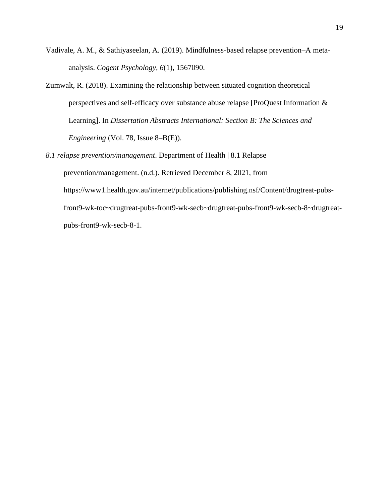- Vadivale, A. M., & Sathiyaseelan, A. (2019). Mindfulness-based relapse prevention–A metaanalysis. *Cogent Psychology, 6*(1), 1567090.
- Zumwalt, R. (2018). Examining the relationship between situated cognition theoretical perspectives and self-efficacy over substance abuse relapse [ProQuest Information & Learning]. In *Dissertation Abstracts International: Section B: The Sciences and Engineering* (Vol. 78, Issue 8–B(E)).
- *8.1 relapse prevention/management*. Department of Health | 8.1 Relapse prevention/management. (n.d.). Retrieved December 8, 2021, from https://www1.health.gov.au/internet/publications/publishing.nsf/Content/drugtreat-pubsfront9-wk-toc~drugtreat-pubs-front9-wk-secb~drugtreat-pubs-front9-wk-secb-8~drugtreatpubs-front9-wk-secb-8-1.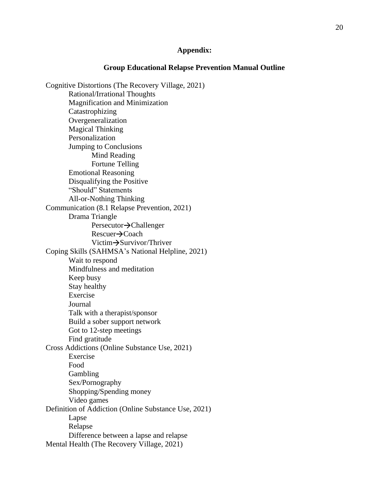# **Appendix:**

### **Group Educational Relapse Prevention Manual Outline**

Cognitive Distortions (The Recovery Village, 2021) Rational/Irrational Thoughts Magnification and Minimization Catastrophizing Overgeneralization Magical Thinking Personalization Jumping to Conclusions Mind Reading Fortune Telling Emotional Reasoning Disqualifying the Positive "Should" Statements All-or-Nothing Thinking Communication (8.1 Relapse Prevention, 2021) Drama Triangle Persecutor  $\rightarrow$  Challenger  $Rescuer \rightarrow Coach$ Victim $\rightarrow$ Survivor/Thriver Coping Skills (SAHMSA's National Helpline, 2021) Wait to respond Mindfulness and meditation Keep busy Stay healthy Exercise Journal Talk with a therapist/sponsor Build a sober support network Got to 12-step meetings Find gratitude Cross Addictions (Online Substance Use, 2021) Exercise Food Gambling Sex/Pornography Shopping/Spending money Video games Definition of Addiction (Online Substance Use, 2021) Lapse Relapse Difference between a lapse and relapse Mental Health (The Recovery Village, 2021)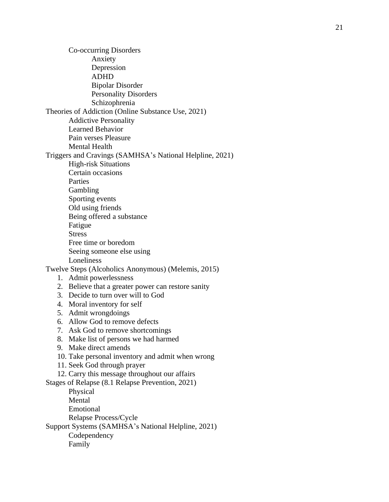Co -occurring Disorders Anxiety Depression ADHD Bipolar Disorder Personality Disorders Schizophrenia Theories of Addiction (Online Substance Use, 2021) Addictive Personality Learned Behavior Pain verses Pleasure Mental Health Triggers and Cravings (SAMHSA's National Helpline, 2021) High -risk Situations Certain occasions Parties Gambling Sporting events Old using friends Being offered a substance Fatigue **Stress** Free time or boredom Seeing someone else using Loneliness Twelve Steps (Alcoholics Anonymous) (Melemis, 2015) 1. Admit powerlessness 2. Believe that a greater power can restore sanity 3. Decide to turn over will to God 4. Moral inventory for self 5. Admit wrongdoings 6. Allow God to remove defects 7. Ask God to remove shortcomings 8. Make list of persons we had harmed 9. Make direct amends 10. Take personal inventory and admit when wrong 11. Seek God through prayer 12. Carry this message throughout our affairs Stages of Relapse (8.1 Relapse Prevention, 2021) Physical Mental Emotional Relapse Process/Cycle

Support Systems (SAMHSA's National Helpline, 2021)

Codependency Family